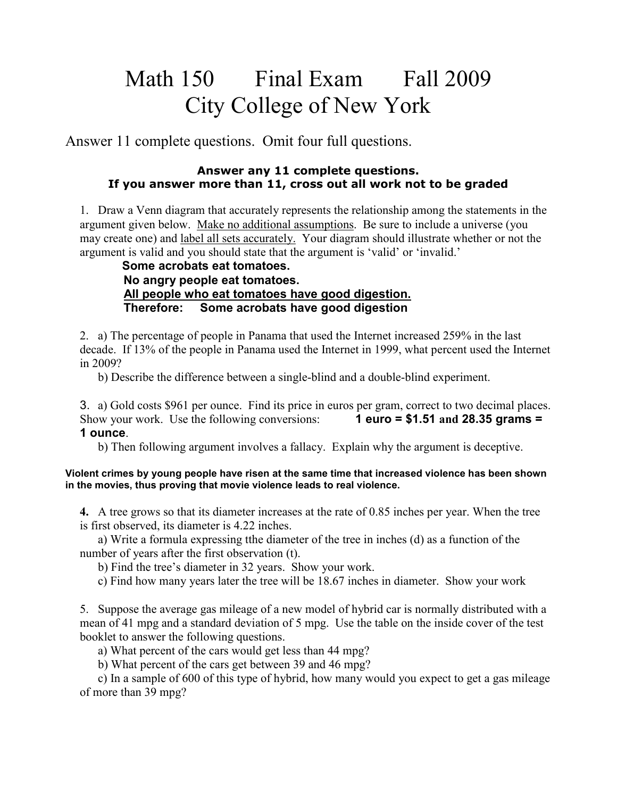## Math 150 Final Exam Fall 2009 City College of New York

Answer 11 complete questions. Omit four full questions.

## **Answer any 11 complete questions. If you answer more than 11, cross out all work not to be graded**

1. Draw a Venn diagram that accurately represents the relationship among the statements in the argument given below. Make no additional assumptions. Be sure to include a universe (you may create one) and label all sets accurately. Your diagram should illustrate whether or not the argument is valid and you should state that the argument is 'valid' or 'invalid.'

## **Some acrobats eat tomatoes. No angry people eat tomatoes. All people who eat tomatoes have good digestion. Therefore: Some acrobats have good digestion**

2. a) The percentage of people in Panama that used the Internet increased 259% in the last decade. If 13% of the people in Panama used the Internet in 1999, what percent used the Internet in 2009?

b) Describe the difference between a single-blind and a double-blind experiment.

3. a) Gold costs \$961 per ounce. Find its price in euros per gram, correct to two decimal places. Show your work. Use the following conversions: **1 euro = \$1.51 and 28.35 grams = 1 ounce**.

b) Then following argument involves a fallacy. Explain why the argument is deceptive.

## **Violent crimes by young people have risen at the same time that increased violence has been shown in the movies, thus proving that movie violence leads to real violence.**

**4.** A tree grows so that its diameter increases at the rate of 0.85 inches per year. When the tree is first observed, its diameter is 4.22 inches.

 a) Write a formula expressing tthe diameter of the tree in inches (d) as a function of the number of years after the first observation (t).

b) Find the tree's diameter in 32 years. Show your work.

c) Find how many years later the tree will be 18.67 inches in diameter. Show your work

5. Suppose the average gas mileage of a new model of hybrid car is normally distributed with a mean of 41 mpg and a standard deviation of 5 mpg. Use the table on the inside cover of the test booklet to answer the following questions.

a) What percent of the cars would get less than 44 mpg?

b) What percent of the cars get between 39 and 46 mpg?

 c) In a sample of 600 of this type of hybrid, how many would you expect to get a gas mileage of more than 39 mpg?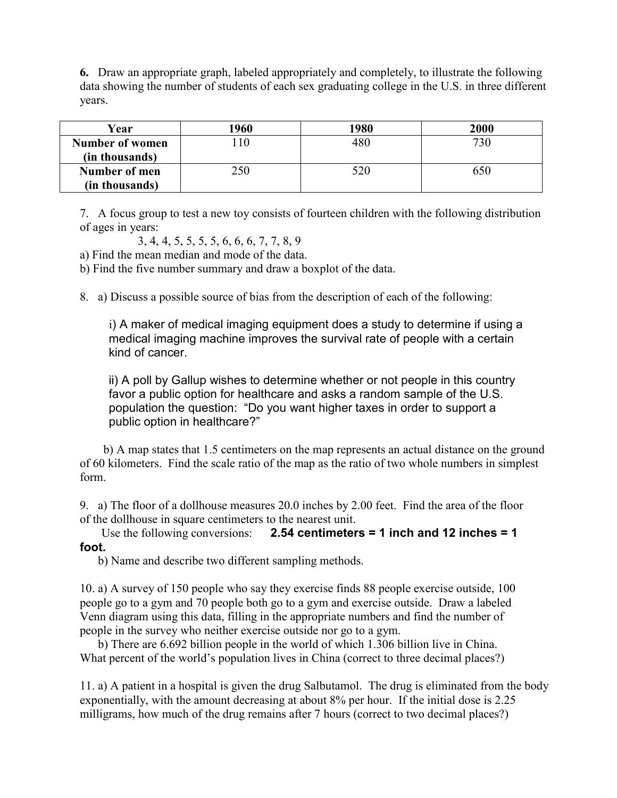**6.** Draw an appropriate graph, labeled appropriately and completely, to illustrate the following data showing the number of students of each sex graduating college in the U.S. in three different years.

| Year            | 1960 | 1980 | 2000 |
|-----------------|------|------|------|
| Number of women | 10   | 480  | 730  |
| (in thousands)  |      |      |      |
| Number of men   | 250  | 520  | 650  |
| (in thousands)  |      |      |      |

7. A focus group to test a new toy consists of fourteen children with the following distribution of ages in years:

3, 4, 4, 5, 5, 5, 5, 6, 6, 6, 7, 7, 8, 9

a) Find the mean median and mode of the data.

b) Find the five number summary and draw a boxplot of the data.

8. a) Discuss a possible source of bias from the description of each of the following:

i) A maker of medical imaging equipment does a study to determine if using a medical imaging machine improves the survival rate of people with a certain kind of cancer.

ii) A poll by Gallup wishes to determine whether or not people in this country favor a public option for healthcare and asks a random sample of the U.S. population the question: "Do you want higher taxes in order to support a public option in healthcare?"

 b) A map states that 1.5 centimeters on the map represents an actual distance on the ground of 60 kilometers. Find the scale ratio of the map as the ratio of two whole numbers in simplest form.

9. a) The floor of a dollhouse measures 20.0 inches by 2.00 feet. Find the area of the floor of the dollhouse in square centimeters to the nearest unit.

 Use the following conversions: **2.54 centimeters = 1 inch and 12 inches = 1 foot.**

b) Name and describe two different sampling methods.

10. a) A survey of 150 people who say they exercise finds 88 people exercise outside, 100 people go to a gym and 70 people both go to a gym and exercise outside. Draw a labeled Venn diagram using this data, filling in the appropriate numbers and find the number of people in the survey who neither exercise outside nor go to a gym.

 b) There are 6.692 billion people in the world of which 1.306 billion live in China. What percent of the world's population lives in China (correct to three decimal places?)

11. a) A patient in a hospital is given the drug Salbutamol. The drug is eliminated from the body exponentially, with the amount decreasing at about 8% per hour. If the initial dose is 2.25 milligrams, how much of the drug remains after 7 hours (correct to two decimal places?)